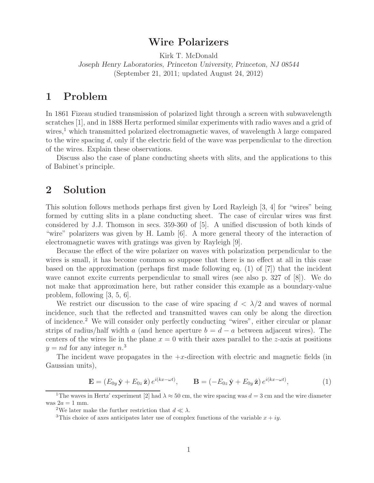# **Wire Polarizers**

Kirk T. McDonald *Joseph Henry Laboratories, Princeton University, Princeton, NJ 08544* (September 21, 2011; updated August 24, 2012)

## **1 Problem**

In 1861 Fizeau studied transmission of polarized light through a screen with subwavelength scratches [1], and in 1888 Hertz performed similar experiments with radio waves and a grid of wires,<sup>1</sup> which transmitted polarized electromagnetic waves, of wavelength  $\lambda$  large compared to the wire spacing d, only if the electric field of the wave was perpendicular to the direction of the wires. Explain these observations.

Discuss also the case of plane conducting sheets with slits, and the applications to this of Babinet's principle.

## **2 Solution**

This solution follows methods perhaps first given by Lord Rayleigh [3, 4] for "wires" being formed by cutting slits in a plane conducting sheet. The case of circular wires was first considered by J.J. Thomson in secs. 359-360 of [5]. A unified discussion of both kinds of "wire" polarizers was given by H. Lamb [6]. A more general theory of the interaction of electromagnetic waves with gratings was given by Rayleigh [9].

Because the effect of the wire polarizer on waves with polarization perpendicular to the wires is small, it has become common so suppose that there is no effect at all in this case based on the approximation (perhaps first made following eq. (1) of [7]) that the incident wave cannot excite currents perpendicular to small wires (see also p. 327 of [8]). We do not make that approximation here, but rather consider this example as a boundary-value problem, following [3, 5, 6].

We restrict our discussion to the case of wire spacing  $d < \lambda/2$  and waves of normal incidence, such that the reflected and transmitted waves can only be along the direction of incidence.<sup>2</sup> We will consider only perfectly conducting "wires", either circular or planar strips of radius/half width a (and hence aperture  $b = d - a$  between adjacent wires). The centers of the wires lie in the plane  $x = 0$  with their axes parallel to the z-axis at positions  $y = nd$  for any integer  $n<sup>3</sup>$ 

The incident wave propagates in the  $+x$ -direction with electric and magnetic fields (in Gaussian units),

$$
\mathbf{E} = (E_{0y}\,\hat{\mathbf{y}} + E_{0z}\,\hat{\mathbf{z}})\,e^{i(kx - \omega t)}, \qquad \mathbf{B} = (-E_{0z}\,\hat{\mathbf{y}} + E_{0y}\,\hat{\mathbf{z}})\,e^{i(kx - \omega t)}, \tag{1}
$$

<sup>&</sup>lt;sup>1</sup>The waves in Hertz' experiment [2] had  $\lambda \approx 50$  cm, the wire spacing was  $d = 3$  cm and the wire diameter was  $2a = 1$  mm.<br><sup>2</sup>We later make the further restriction that  $d \ll \lambda$ .

<sup>&</sup>lt;sup>3</sup>This choice of axes anticipates later use of complex functions of the variable  $x + iy$ .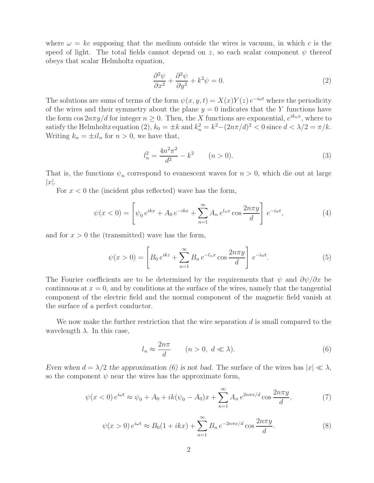where  $\omega = kc$  supposing that the medium outside the wires is vacuum, in which c is the speed of light. The total fields cannot depend on z, so each scalar component  $\psi$  thereof obeys that scalar Helmholtz equation,

$$
\frac{\partial^2 \psi}{\partial x^2} + \frac{\partial^2 \psi}{\partial y^2} + k^2 \psi = 0.
$$
\n(2)

The solutions are sums of terms of the form  $\psi(x, y, t) = X(x)Y(z) e^{-i\omega t}$  where the periodicity of the wires and their symmetry about the plane  $y = 0$  indicates that the Y functions have the form  $\cos 2n\pi y/d$  for integer  $n > 0$ . Then, the X functions are exponential,  $e^{ik_n x}$ , where to satisfy the Helmholtz equation (2),  $k_0 = \pm k$  and  $k_n^2 = k^2 - (2n\pi/d)^2 < 0$  since  $d < \lambda/2 = \pi/k$ . Writing  $k_n = \pm i l_n$  for  $n > 0$ , we have that,

$$
l_n^2 = \frac{4n^2\pi^2}{d^2} - k^2 \qquad (n > 0).
$$
 (3)

That is, the functions  $\psi_n$  correspond to evanescent waves for  $n > 0$ , which die out at large  $|x|$ .

For  $x < 0$  the (incident plus reflected) wave has the form,

$$
\psi(x < 0) = \left[ \psi_0 e^{ikx} + A_0 e^{-ikx} + \sum_{n=1}^{\infty} A_n e^{l_n x} \cos \frac{2n\pi y}{d} \right] e^{-i\omega t}, \tag{4}
$$

and for  $x > 0$  the (transmitted) wave has the form,

$$
\psi(x > 0) = \left[ B_0 e^{ikz} + \sum_{n=1}^{\infty} B_n e^{-l_n x} \cos \frac{2n\pi y}{d} \right] e^{-i\omega t}.
$$
 (5)

The Fourier coefficients are to be determined by the requirements that  $\psi$  and  $\partial \psi / \partial x$  be continuous at  $x = 0$ , and by conditions at the surface of the wires, namely that the tangential component of the electric field and the normal component of the magnetic field vanish at the surface of a perfect conductor.

We now make the further restriction that the wire separation  $d$  is small compared to the wavelength  $\lambda$ . In this case,

$$
l_n \approx \frac{2n\pi}{d} \qquad (n > 0, \ d \ll \lambda). \tag{6}
$$

*Even when*  $d = \lambda/2$  *the approximation* (6) *is not bad.* The surface of the wires has  $|x| \ll \lambda$ , so the component  $\psi$  near the wires has the approximate form,

$$
\psi(x<0) e^{i\omega t} \approx \psi_0 + A_0 + ik(\psi_0 - A_0)x + \sum_{n=1}^{\infty} A_n e^{2n\pi x/d} \cos \frac{2n\pi y}{d},\tag{7}
$$

$$
\psi(x > 0) e^{i\omega t} \approx B_0 (1 + ikx) + \sum_{n=1}^{\infty} B_n e^{-2n\pi x/d} \cos \frac{2n\pi y}{d}.
$$
 (8)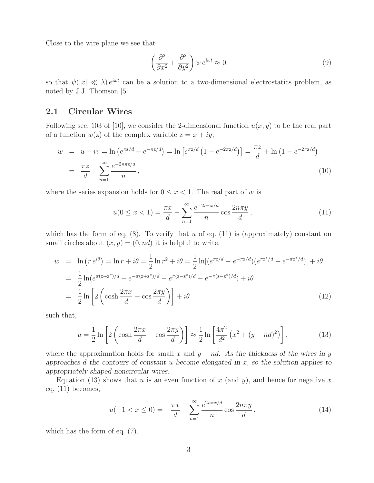Close to the wire plane we see that

$$
\left(\frac{\partial^2}{\partial x^2} + \frac{\partial^2}{\partial y^2}\right)\psi e^{i\omega t} \approx 0,
$$
\n(9)

so that  $\psi(|x| \ll \lambda) e^{i\omega t}$  can be a solution to a two-dimensional electrostatics problem, as noted by J.J. Thomson [5].

### **2.1 Circular Wires**

Following sec. 103 of [10], we consider the 2-dimensional function  $u(x, y)$  to be the real part of a function  $w(z)$  of the complex variable  $z = x + iy$ ,

$$
w = u + iv = \ln\left(e^{\pi z/d} - e^{-\pi z/d}\right) = \ln\left[e^{\pi z/d}\left(1 - e^{-2\pi z/d}\right)\right] = \frac{\pi z}{d} + \ln\left(1 - e^{-2\pi z/d}\right)
$$

$$
= \frac{\pi z}{d} - \sum_{n=1}^{\infty} \frac{e^{-2n\pi z/d}}{n},\tag{10}
$$

where the series expansion holds for  $0 \leq x < 1$ . The real part of w is

$$
u(0 \le x < 1) = \frac{\pi x}{d} - \sum_{n=1}^{\infty} \frac{e^{-2n\pi x/d}}{n} \cos \frac{2n\pi y}{d}, \qquad (11)
$$

which has the form of eq.  $(8)$ . To verify that u of eq.  $(11)$  is (approximately) constant on small circles about  $(x, y) = (0, nd)$  it is helpful to write,

$$
w = \ln (r e^{i\theta}) = \ln r + i\theta = \frac{1}{2} \ln r^2 + i\theta = \frac{1}{2} \ln [(e^{\pi z/d} - e^{-\pi z/d})(e^{\pi z^* / d} - e^{-\pi z^* / d})] + i\theta
$$
  

$$
= \frac{1}{2} \ln (e^{\pi (z + z^*) / d} + e^{-\pi (z + z^*) / d} - e^{\pi (z - z^*) / d} - e^{-\pi (z - z^*) / d}) + i\theta
$$
  

$$
= \frac{1}{2} \ln \left[ 2 \left( \cosh \frac{2\pi x}{d} - \cos \frac{2\pi y}{d} \right) \right] + i\theta
$$
 (12)

such that,

$$
u = \frac{1}{2} \ln \left[ 2 \left( \cosh \frac{2\pi x}{d} - \cos \frac{2\pi y}{d} \right) \right] \approx \frac{1}{2} \ln \left[ \frac{4\pi^2}{d^2} \left( x^2 + (y - nd)^2 \right) \right],\tag{13}
$$

where the approximation holds for small x and  $y - nd$ . As the thickness of the wires in y *approaches* d *the contours of constant* u *become elongated in* x*, so the solution applies to appropriately shaped noncircular wires.*

Equation (13) shows that u is an even function of x (and y), and hence for negative x eq. (11) becomes,

$$
u(-1 < x \le 0) = -\frac{\pi x}{d} - \sum_{n=1}^{\infty} \frac{e^{2n\pi x/d}}{n} \cos \frac{2n\pi y}{d}, \qquad (14)
$$

which has the form of eq. (7).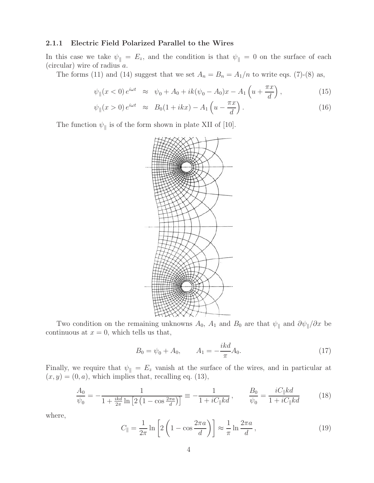### **2.1.1 Electric Field Polarized Parallel to the Wires**

In this case we take  $\psi_{\parallel} = E_z$ , and the condition is that  $\psi_{\parallel} = 0$  on the surface of each (circular) wire of radius a.

The forms (11) and (14) suggest that we set  $A_n = B_n = A_1/n$  to write eqs. (7)-(8) as,

$$
\psi_{\parallel}(x<0) e^{i\omega t} \approx \psi_0 + A_0 + ik(\psi_0 - A_0)x - A_1 \left( u + \frac{\pi x}{d} \right), \tag{15}
$$

$$
\psi_{\parallel}(x>0) e^{i\omega t} \approx B_0(1+ikx) - A_1\left(u - \frac{\pi x}{d}\right). \tag{16}
$$

The function  $\psi_{\parallel}$  is of the form shown in plate XII of [10].



Two condition on the remaining unknowns  $A_0$ ,  $A_1$  and  $B_0$  are that  $\psi_{\parallel}$  and  $\partial \psi_{\parallel}/\partial x$  be continuous at  $x = 0$ , which tells us that,

$$
B_0 = \psi_0 + A_0, \qquad A_1 = -\frac{ikd}{\pi}A_0.
$$
 (17)

Finally, we require that  $\psi_{\parallel} = E_z$  vanish at the surface of the wires, and in particular at  $(x, y) = (0, a)$ , which implies that, recalling eq. (13),

$$
\frac{A_0}{\psi_0} = -\frac{1}{1 + \frac{ikd}{2\pi} \ln\left[2\left(1 - \cos\frac{2\pi a}{d}\right)\right]} \equiv -\frac{1}{1 + iC_{\parallel}kd}, \qquad \frac{B_0}{\psi_0} = \frac{iC_{\parallel}kd}{1 + iC_{\parallel}kd} \tag{18}
$$

where,

$$
C_{\parallel} = \frac{1}{2\pi} \ln \left[ 2 \left( 1 - \cos \frac{2\pi a}{d} \right) \right] \approx \frac{1}{\pi} \ln \frac{2\pi a}{d},\tag{19}
$$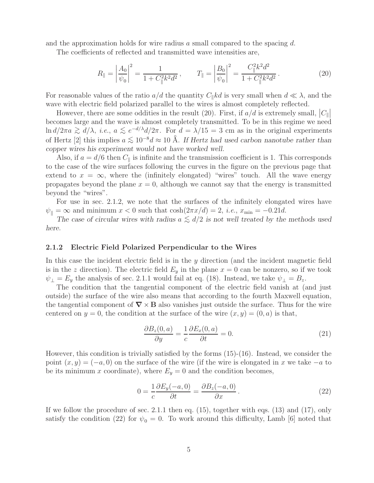and the approximation holds for wire radius  $a$  small compared to the spacing  $d$ .

The coefficients of reflected and transmitted wave intensities are,

$$
R_{\parallel} = \left| \frac{A_0}{\psi_0} \right|^2 = \frac{1}{1 + C_{\parallel}^2 k^2 d^2}, \qquad T_{\parallel} = \left| \frac{B_0}{\psi_0} \right|^2 = \frac{C_{\parallel}^2 k^2 d^2}{1 + C_{\parallel}^2 k^2 d^2}.
$$
 (20)

For reasonable values of the ratio  $a/d$  the quantity  $C_{\parallel} k d$  is very small when  $d \ll \lambda$ , and the wave with electric field polarized parallel to the wires is almost completely reflected.

However, there are some oddities in the result (20). First, if  $a/d$  is extremely small,  $|C_{\parallel}|$  $\frac{1}{1}$ becomes large and the wave is almost completely transmitted. To be in this regime we need ln  $d/2\pi a \gtrsim d/\lambda$ , *i.e.*,  $a \lesssim e^{-d/\lambda} d/2\pi$ . For  $d = \lambda/15 = 3$  cm as in the original experiments of Hertz [2] this implies  $a \lesssim 10^{-8}d \approx 10 \text{ Å}$ . If Hertz had used carbon nanotube rather than *copper wires his experiment would not have worked well.*

Also, if  $a = d/6$  then  $C_{\parallel}$  is infinite and the transmission coefficient is 1. This corresponds to the case of the wire surfaces following the curves in the figure on the previous page that extend to  $x = \infty$ , where the (infinitely elongated) "wires" touch. All the wave energy propagates beyond the plane  $x = 0$ , although we cannot say that the energy is transmitted beyond the "wires".

For use in sec. 2.1.2, we note that the surfaces of the infinitely elongated wires have  $\psi_{\parallel} = \infty$  and minimum  $x < 0$  such that  $\cosh(2\pi x/d) = 2$ , *i.e.*,  $x_{\text{min}} = -0.21d$ .

*The case of circular wires with radius*  $a \leq d/2$  *is not well treated by the methods used here.*

#### **2.1.2 Electric Field Polarized Perpendicular to the Wires**

In this case the incident electric field is in the y direction (and the incident magnetic field is in the z direction). The electric field  $E_y$  in the plane  $x = 0$  can be nonzero, so if we took  $\psi_{\perp} = E_y$  the analysis of sec. 2.1.1 would fail at eq. (18). Instead, we take  $\psi_{\perp} = B_z$ .

The condition that the tangential component of the electric field vanish at (and just outside) the surface of the wire also means that according to the fourth Maxwell equation, the tangential component of  $\nabla \times \mathbf{B}$  also vanishes just outside the surface. Thus for the wire centered on  $y = 0$ , the condition at the surface of the wire  $(x, y) = (0, a)$  is that,

$$
\frac{\partial B_z(0, a)}{\partial y} = \frac{1}{c} \frac{\partial E_x(0, a)}{\partial t} = 0.
$$
\n(21)

However, this condition is trivially satisfied by the forms (15)-(16). Instead, we consider the point  $(x, y) = (-a, 0)$  on the surface of the wire (if the wire is elongated in x we take  $-a$  to be its minimum x coordinate), where  $E_y = 0$  and the condition becomes,

$$
0 = \frac{1}{c} \frac{\partial E_y(-a,0)}{\partial t} = \frac{\partial B_z(-a,0)}{\partial x}.
$$
 (22)

If we follow the procedure of sec. 2.1.1 then eq. (15), together with eqs. (13) and (17), only satisfy the condition (22) for  $\psi_0 = 0$ . To work around this difficulty, Lamb [6] noted that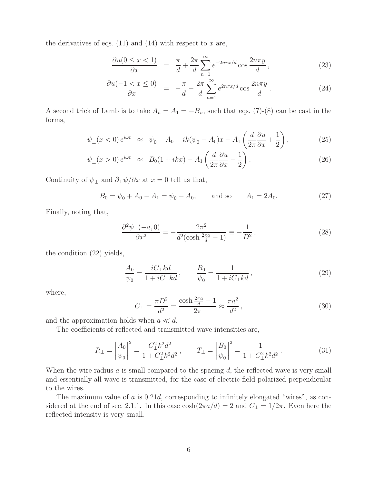the derivatives of eqs.  $(11)$  and  $(14)$  with respect to x are,

$$
\frac{\partial u(0 \le x < 1)}{\partial x} = \frac{\pi}{d} + \frac{2\pi}{d} \sum_{n=1}^{\infty} e^{-2n\pi x/d} \cos \frac{2n\pi y}{d},\tag{23}
$$

$$
\frac{\partial u(-1 < x \le 0)}{\partial x} = -\frac{\pi}{d} - \frac{2\pi}{d} \sum_{n=1}^{\infty} e^{2n\pi x/d} \cos \frac{2n\pi y}{d} \,. \tag{24}
$$

A second trick of Lamb is to take  $A_n = A_1 = -B_n$ , such that eqs. (7)-(8) can be cast in the forms,

$$
\psi_{\perp}(x<0)e^{i\omega t} \approx \psi_0 + A_0 + ik(\psi_0 - A_0)x - A_1 \left(\frac{d}{2\pi}\frac{\partial u}{\partial x} + \frac{1}{2}\right),\tag{25}
$$

$$
\psi_{\perp}(x>0) e^{i\omega t} \approx B_0(1+ikx) - A_1\left(\frac{d}{2\pi}\frac{\partial u}{\partial x} - \frac{1}{2}\right). \tag{26}
$$

Continuity of  $\psi_{\perp}$  and  $\partial_{\perp}\psi/\partial x$  at  $x=0$  tell us that,

 $B_0 = \psi_0 + A_0 - A_1 = \psi_0 - A_0$ , and so  $A_1 = 2A_0$ . (27)

Finally, noting that,

$$
\frac{\partial^2 \psi_{\perp}(-a,0)}{\partial x^2} = -\frac{2\pi^2}{d^2(\cosh\frac{2\pi a}{d} - 1)} \equiv -\frac{1}{D^2},\tag{28}
$$

the condition (22) yields,

$$
\frac{A_0}{\psi_0} = \frac{iC_{\perp}kd}{1 + iC_{\perp}kd}, \qquad \frac{B_0}{\psi_0} = \frac{1}{1 + iC_{\perp}kd},
$$
\n(29)

where,

$$
C_{\perp} = \frac{\pi D^2}{d^2} = \frac{\cosh \frac{2\pi a}{d} - 1}{2\pi} \approx \frac{\pi a^2}{d^2},
$$
\n(30)

and the approximation holds when  $a \ll d$ .

The coefficients of reflected and transmitted wave intensities are,

$$
R_{\perp} = \left| \frac{A_0}{\psi_0} \right|^2 = \frac{C_{\perp}^2 k^2 d^2}{1 + C_{\perp}^2 k^2 d^2}, \qquad T_{\perp} = \left| \frac{B_0}{\psi_0} \right|^2 = \frac{1}{1 + C_{\perp}^2 k^2 d^2}.
$$
 (31)

When the wire radius  $a$  is small compared to the spacing  $d$ , the reflected wave is very small and essentially all wave is transmitted, for the case of electric field polarized perpendicular to the wires.

The maximum value of  $a$  is 0.21 $d$ , corresponding to infinitely elongated "wires", as considered at the end of sec. 2.1.1. In this case  $\cosh(2\pi a/d) = 2$  and  $C_{\perp} = 1/2\pi$ . Even here the reflected intensity is very small.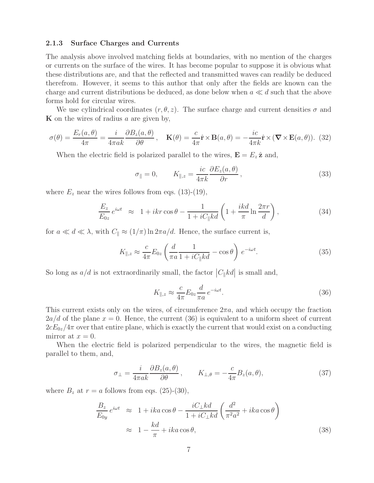### **2.1.3 Surface Charges and Currents**

The analysis above involved matching fields at boundaries, with no mention of the charges or currents on the surface of the wires. It has become popular to suppose it is obvious what these distributions are, and that the reflected and transmitted waves can readily be deduced therefrom. However, it seems to this author that only after the fields are known can the charge and current distributions be deduced, as done below when  $a \ll d$  such that the above forms hold for circular wires.

We use cylindrical coordinates  $(r, \theta, z)$ . The surface charge and current densities  $\sigma$  and **K** on the wires of radius a are given by,

$$
\sigma(\theta) = \frac{E_r(a,\theta)}{4\pi} = \frac{i}{4\pi ak} \frac{\partial B_z(a,\theta)}{\partial \theta}, \quad \mathbf{K}(\theta) = \frac{c}{4\pi} \hat{\mathbf{r}} \times \mathbf{B}(a,\theta) = -\frac{ic}{4\pi k} \hat{\mathbf{r}} \times (\mathbf{\nabla} \times \mathbf{E}(a,\theta)).
$$
 (32)

When the electric field is polarized parallel to the wires,  $\mathbf{E} = E_z \hat{\mathbf{z}}$  and,

$$
\sigma_{\parallel} = 0, \qquad K_{\parallel,z} = \frac{ic}{4\pi k} \frac{\partial E_z(a,\theta)}{\partial r}, \qquad (33)
$$

where  $E_z$  near the wires follows from eqs. (13)-(19),

$$
\frac{E_z}{E_{0z}}e^{i\omega t} \approx 1 + ikr \cos \theta - \frac{1}{1 + iC_{\parallel}kd} \left(1 + \frac{ikd}{\pi} \ln \frac{2\pi r}{d}\right),\tag{34}
$$

for  $a \ll d \ll \lambda$ , with  $C_{\parallel} \approx (1/\pi) \ln 2\pi a/d$ . Hence, the surface current is,

$$
K_{\parallel,z} \approx \frac{c}{4\pi} E_{0z} \left( \frac{d}{\pi a} \frac{1}{1 + iC_{\parallel} kd} - \cos \theta \right) e^{-i\omega t}.
$$
 (35)

So long as  $a/d$  is not extraordinarily small, the factor  $|C_{\parallel}kd|$  is small and,

$$
K_{\parallel,z} \approx \frac{c}{4\pi} E_{0z} \frac{d}{\pi a} e^{-i\omega t}.
$$
\n(36)

This current exists only on the wires, of circumference  $2\pi a$ , and which occupy the fraction  $2a/d$  of the plane  $x = 0$ . Hence, the current (36) is equivalent to a uniform sheet of current  $2cE_{0z}/4\pi$  over that entire plane, which is exactly the current that would exist on a conducting mirror at  $x = 0$ .

When the electric field is polarized perpendicular to the wires, the magnetic field is parallel to them, and,

$$
\sigma_{\perp} = \frac{i}{4\pi ak} \frac{\partial B_z(a, \theta)}{\partial \theta}, \qquad K_{\perp, \theta} = -\frac{c}{4\pi} B_z(a, \theta), \tag{37}
$$

where  $B_z$  at  $r = a$  follows from eqs. (25)-(30),

$$
\frac{B_z}{E_{0y}} e^{i\omega t} \approx 1 + ika \cos \theta - \frac{iC_{\perp}kd}{1 + iC_{\perp}kd} \left(\frac{d^2}{\pi^2 a^2} + ika \cos \theta\right)
$$
  

$$
\approx 1 - \frac{kd}{\pi} + ika \cos \theta,
$$
 (38)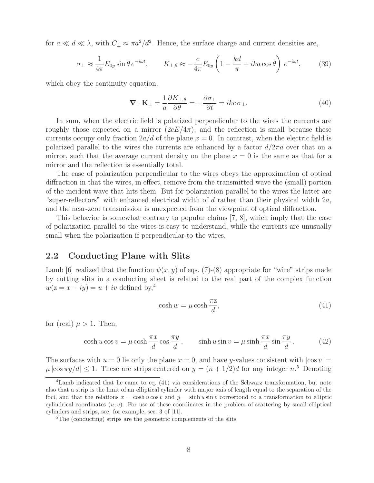for  $a \ll d \ll \lambda$ , with  $C_{\perp} \approx \pi a^2/d^2$ . Hence, the surface charge and current densities are,

$$
\sigma_{\perp} \approx \frac{1}{4\pi} E_{0y} \sin \theta \, e^{-i\omega t}, \qquad K_{\perp,\theta} \approx -\frac{c}{4\pi} E_{0y} \left( 1 - \frac{kd}{\pi} + ika \cos \theta \right) \, e^{-i\omega t}, \tag{39}
$$

which obey the continuity equation,

$$
\nabla \cdot \mathbf{K}_{\perp} = \frac{1}{a} \frac{\partial K_{\perp,\theta}}{\partial \theta} = -\frac{\partial \sigma_{\perp}}{\partial t} = ikc \,\sigma_{\perp}.\tag{40}
$$

In sum, when the electric field is polarized perpendicular to the wires the currents are roughly those expected on a mirror  $(2cE/4\pi)$ , and the reflection is small because these currents occupy only fraction  $2a/d$  of the plane  $x = 0$ . In contrast, when the electric field is polarized parallel to the wires the currents are enhanced by a factor  $d/2\pi a$  over that on a mirror, such that the average current density on the plane  $x = 0$  is the same as that for a mirror and the reflection is essentially total.

The case of polarization perpendicular to the wires obeys the approximation of optical diffraction in that the wires, in effect, remove from the transmitted wave the (small) portion of the incident wave that hits them. But for polarization parallel to the wires the latter are "super-reflectors" with enhanced electrical width of  $d$  rather than their physical width  $2a$ , and the near-zero transmission is unexpected from the viewpoint of optical diffraction.

This behavior is somewhat contrary to popular claims [7, 8], which imply that the case of polarization parallel to the wires is easy to understand, while the currents are unusually small when the polarization if perpendicular to the wires.

### **2.2 Conducting Plane with Slits**

Lamb [6] realized that the function  $\psi(x, y)$  of eqs. (7)-(8) appropriate for "wire" strips made by cutting slits in a conducting sheet is related to the real part of the complex function  $w(z = x + iy) = u + iv$  defined by,<sup>4</sup>

$$
\cosh w = \mu \cosh \frac{\pi z}{d},\tag{41}
$$

for (real)  $\mu > 1$ . Then,

$$
\cosh u \cos v = \mu \cosh \frac{\pi x}{d} \cos \frac{\pi y}{d}, \qquad \sinh u \sin v = \mu \sinh \frac{\pi x}{d} \sin \frac{\pi y}{d}.
$$
 (42)

The surfaces with  $u = 0$  lie only the plane  $x = 0$ , and have y-values consistent with  $|\cos v| =$  $\mu$  |cos  $\pi y/d$ |  $\leq$  1. These are strips centered on  $y = (n + 1/2)d$  for any integer  $n<sup>5</sup>$  Denoting

<sup>&</sup>lt;sup>4</sup>Lamb indicated that he came to eq. (41) via considerations of the Schwarz transformation, but note also that a strip is the limit of an elliptical cylinder with major axis of length equal to the separation of the foci, and that the relations  $x = \cosh u \cos v$  and  $y = \sinh u \sin v$  correspond to a transformation to elliptic cylindrical coordinates  $(u, v)$ . For use of these coordinates in the problem of scattering by small elliptical cylinders and strips, see, for example, sec. 3 of [11].

 ${}^{5}$ The (conducting) strips are the geometric complements of the slits.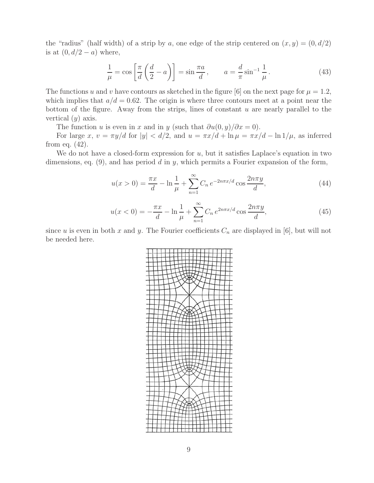the "radius" (half width) of a strip by a, one edge of the strip centered on  $(x, y) = (0, d/2)$ is at  $(0, d/2 - a)$  where,

$$
\frac{1}{\mu} = \cos\left[\frac{\pi}{d}\left(\frac{d}{2} - a\right)\right] = \sin\frac{\pi a}{d}, \qquad a = \frac{d}{\pi}\sin^{-1}\frac{1}{\mu}.
$$
\n(43)

The functions u and v have contours as sketched in the figure [6] on the next page for  $\mu = 1.2$ , which implies that  $a/d = 0.62$ . The origin is where three contours meet at a point near the bottom of the figure. Away from the strips, lines of constant  $u$  are nearly parallel to the vertical  $(y)$  axis.

The function u is even in x and in y (such that  $\frac{\partial u(0, y)}{\partial x} = 0$ ).

For large x,  $v = \pi y/d$  for  $|y| < d/2$ , and  $u = \pi x/d + \ln \mu = \pi x/d - \ln 1/\mu$ , as inferred from eq. (42).

We do not have a closed-form expression for  $u$ , but it satisfies Laplace's equation in two dimensions, eq.  $(9)$ , and has period d in y, which permits a Fourier expansion of the form,

$$
u(x>0) = \frac{\pi x}{d} - \ln\frac{1}{\mu} + \sum_{n=1}^{\infty} C_n e^{-2n\pi x/d} \cos\frac{2n\pi y}{d},
$$
 (44)

$$
u(x<0) = -\frac{\pi x}{d} - \ln\frac{1}{\mu} + \sum_{n=1}^{\infty} C_n e^{2n\pi x/d} \cos\frac{2n\pi y}{d},
$$
\n(45)

since u is even in both x and y. The Fourier coefficients  $C_n$  are displayed in [6], but will not be needed here.

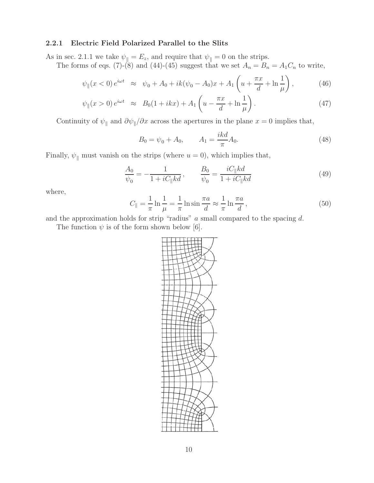### **2.2.1 Electric Field Polarized Parallel to the Slits**

As in sec. 2.1.1 we take  $\psi_{\parallel} = E_z$ , and require that  $\psi_{\parallel} = 0$  on the strips.

The forms of eqs. (7)-(8) and (44)-(45) suggest that we set  $A_n = B_n = A_1 C_n$  to write,

$$
\psi_{\parallel}(x<0) e^{i\omega t} \approx \psi_0 + A_0 + ik(\psi_0 - A_0)x + A_1 \left( u + \frac{\pi x}{d} + \ln \frac{1}{\mu} \right), \tag{46}
$$

$$
\psi_{\parallel}(x>0) e^{i\omega t} \approx B_0(1+ikx) + A_1\left(u - \frac{\pi x}{d} + \ln\frac{1}{\mu}\right). \tag{47}
$$

Continuity of  $\psi_{\parallel}$  and  $\partial \psi_{\parallel}/\partial x$  across the apertures in the plane  $x = 0$  implies that,

$$
B_0 = \psi_0 + A_0, \qquad A_1 = \frac{ikd}{\pi} A_0.
$$
\n(48)

Finally,  $\psi_{\parallel}$  must vanish on the strips (where  $u = 0$ ), which implies that,

$$
\frac{A_0}{\psi_0} = -\frac{1}{1 + iC_{\parallel}kd}, \qquad \frac{B_0}{\psi_0} = \frac{iC_{\parallel}kd}{1 + iC_{\parallel}kd}
$$
(49)

where,

$$
C_{\parallel} = \frac{1}{\pi} \ln \frac{1}{\mu} = \frac{1}{\pi} \ln \sin \frac{\pi a}{d} \approx \frac{1}{\pi} \ln \frac{\pi a}{d},\tag{50}
$$

and the approximation holds for strip "radius"  $a$  small compared to the spacing  $d$ .

The function  $\psi$  is of the form shown below [6].

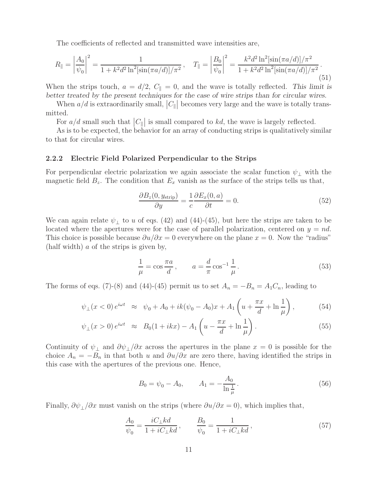The coefficients of reflected and transmitted wave intensities are,

$$
R_{\parallel} = \left| \frac{A_0}{\psi_0} \right|^2 = \frac{1}{1 + k^2 d^2 \ln^2[\sin(\pi a/d)]/\pi^2}, \quad T_{\parallel} = \left| \frac{B_0}{\psi_0} \right|^2 = \frac{k^2 d^2 \ln^2[\sin(\pi a/d)]/\pi^2}{1 + k^2 d^2 \ln^2[\sin(\pi a/d)]/\pi^2}.
$$
\n(51)

When the strips touch,  $a = d/2$ ,  $C_{\parallel} = 0$ , and the wave is totally reflected. This limit is *better treated by the present techniques for the case of wire strips than for circular wires.*

When  $a/d$  is extraordinarily small,  $|C_{\parallel}|$  becomes very large and the wave is totally transmitted.

For  $a/d$  small such that  $|C_{\parallel}|$  is small compared to kd, the wave is largely reflected.

As is to be expected, the behavior for an array of conducting strips is qualitatively similar to that for circular wires.

### **2.2.2 Electric Field Polarized Perpendicular to the Strips**

For perpendicular electric polarization we again associate the scalar function  $\psi_+$  with the magnetic field  $B_z$ . The condition that  $E_x$  vanish as the surface of the strips tells us that,

$$
\frac{\partial B_z(0, y_{\text{strip}})}{\partial y} = \frac{1}{c} \frac{\partial E_x(0, a)}{\partial t} = 0.
$$
\n(52)

We can again relate  $\psi_{\perp}$  to u of eqs. (42) and (44)-(45), but here the strips are taken to be located where the apertures were for the case of parallel polarization, centered on  $y = nd$ . This choice is possible because  $\partial u/\partial x = 0$  everywhere on the plane  $x = 0$ . Now the "radius" (half width) a of the strips is given by,

$$
\frac{1}{\mu} = \cos \frac{\pi a}{d}, \qquad a = \frac{d}{\pi} \cos^{-1} \frac{1}{\mu}.
$$
\n
$$
(53)
$$

The forms of eqs. (7)-(8) and (44)-(45) permit us to set  $A_n = -B_n = A_1C_n$ , leading to

$$
\psi_{\perp}(x<0) e^{i\omega t} \approx \psi_0 + A_0 + ik(\psi_0 - A_0)x + A_1 \left( u + \frac{\pi x}{d} + \ln \frac{1}{\mu} \right), \tag{54}
$$

$$
\psi_{\perp}(x > 0) e^{i\omega t} \approx B_0 (1 + ikx) - A_1 \left( u - \frac{\pi x}{d} + \ln \frac{1}{\mu} \right).
$$
\n(55)

Continuity of  $\psi_{\perp}$  and  $\partial \psi_{\perp}/\partial x$  across the apertures in the plane  $x = 0$  is possible for the choice  $A_n = -B_n$  in that both u and  $\partial u/\partial x$  are zero there, having identified the strips in this case with the apertures of the previous one. Hence,

$$
B_0 = \psi_0 - A_0, \qquad A_1 = -\frac{A_0}{\ln \frac{1}{\mu}}.
$$
\n(56)

Finally,  $\partial \psi_{\perp}/\partial x$  must vanish on the strips (where  $\partial u/\partial x = 0$ ), which implies that,

$$
\frac{A_0}{\psi_0} = \frac{iC_{\perp}kd}{1 + iC_{\perp}kd}, \qquad \frac{B_0}{\psi_0} = \frac{1}{1 + iC_{\perp}kd},\tag{57}
$$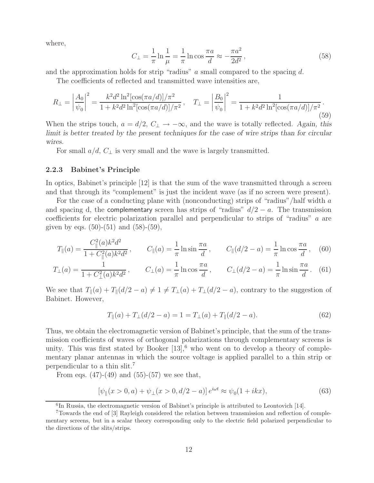where,

$$
C_{\perp} = \frac{1}{\pi} \ln \frac{1}{\mu} = \frac{1}{\pi} \ln \cos \frac{\pi a}{d} \approx -\frac{\pi a^2}{2d^2},\tag{58}
$$

and the approximation holds for strip "radius" a small compared to the spacing  $d$ .

The coefficients of reflected and transmitted wave intensities are,

$$
R_{\perp} = \left| \frac{A_0}{\psi_0} \right|^2 = \frac{k^2 d^2 \ln^2 [\cos(\pi a/d)] / \pi^2}{1 + k^2 d^2 \ln^2 [\cos(\pi a/d)] / \pi^2}, \quad T_{\perp} = \left| \frac{B_0}{\psi_0} \right|^2 = \frac{1}{1 + k^2 d^2 \ln^2 [\cos(\pi a/d)] / \pi^2}.
$$
\n(59)

When the strips touch,  $a = d/2$ ,  $C_{\perp} \rightarrow -\infty$ , and the wave is totally reflected. Again, this *limit is better treated by the present techniques for the case of wire strips than for circular wires.*

For small  $a/d$ ,  $C_{\perp}$  is very small and the wave is largely transmitted.

### **2.2.3 Babinet's Principle**

In optics, Babinet's principle [12] is that the sum of the wave transmitted through a screen and that through its "complement" is just the incident wave (as if no screen were present).

For the case of a conducting plane with (nonconducting) strips of "radius"/half width a and spacing d, the complementary screen has strips of "radius"  $d/2 - a$ . The transmission coefficients for electric polarization parallel and perpendicular to strips of "radius" a are given by eqs.  $(50)-(51)$  and  $(58)-(59)$ ,

$$
T_{\parallel}(a) = \frac{C_{\parallel}^2(a)k^2d^2}{1 + C_{\parallel}^2(a)k^2d^2}, \qquad C_{\parallel}(a) = \frac{1}{\pi}\ln\sin\frac{\pi a}{d}, \qquad C_{\parallel}(d/2 - a) = \frac{1}{\pi}\ln\cos\frac{\pi a}{d}, \quad (60)
$$

$$
T_{\perp}(a) = \frac{1}{1 + C_{\perp}^2(a)k^2 d^2}, \qquad C_{\perp}(a) = \frac{1}{\pi} \ln \cos \frac{\pi a}{d}, \qquad C_{\perp}(d/2 - a) = \frac{1}{\pi} \ln \sin \frac{\pi a}{d}. \tag{61}
$$

We see that  $T_{\parallel}(a) + T_{\parallel}(d/2 - a) \neq 1 \neq T_{\perp}(a) + T_{\perp}(d/2 - a)$ , contrary to the suggestion of Babinet. However,

$$
T_{\parallel}(a) + T_{\perp}(d/2 - a) = 1 = T_{\perp}(a) + T_{\parallel}(d/2 - a). \tag{62}
$$

Thus, we obtain the electromagnetic version of Babinet's principle, that the sum of the transmission coefficients of waves of orthogonal polarizations through complementary screens is unity. This was first stated by Booker  $[13]$ , who went on to develop a theory of complementary planar antennas in which the source voltage is applied parallel to a thin strip or perpendicular to a thin slit.<sup>7</sup>

From eqs.  $(47)-(49)$  and  $(55)-(57)$  we see that,

$$
[\psi_{\parallel}(x > 0, a) + \psi_{\perp}(x > 0, d/2 - a)] e^{i\omega t} \approx \psi_0(1 + ikx), \tag{63}
$$

 ${}^{6}$ In Russia, the electromagnetic version of Babinet's principle is attributed to Leontovich [14].

<sup>7</sup>Towards the end of [3] Rayleigh considered the relation between transmission and reflection of complementary screens, but in a scalar theory corresponding only to the electric field polarized perpendicular to the directions of the slits/strips.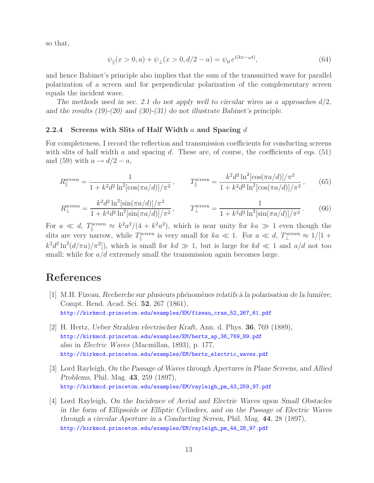so that,

$$
\psi_{\parallel}(x > 0, a) + \psi_{\perp}(x > 0, d/2 - a) = \psi_0 e^{i(kx - \omega t)}, \tag{64}
$$

and hence Babinet's principle also implies that the sum of the transmitted wave for parallel polarization of a screen and for perpendicular polarization of the complementary screen equals the incident wave.

*The methods used in sec. 2.1 do not apply well to circular wires as* a *approaches* d/2*, and the results (19)-(20) and (30)-(31) do not illustrate Babinet's principle.*

### **2.2.4 Screens with Slits of Half Width** a **and Spacing** d

For completeness, I record the reflection and transmission coefficients for conducting screens with slits of half width a and spacing d. These are, of course, the coefficients of eqs.  $(51)$ and (59) with  $a \rightarrow d/2 - a$ ,

$$
R_{\parallel}^{\text{screen}} = \frac{1}{1 + k^2 d^2 \ln^2[\cos(\pi a/d)]/\pi^2}, \qquad T_{\parallel}^{\text{screen}} = \frac{k^2 d^2 \ln^2[\cos(\pi a/d)]/\pi^2}{1 + k^2 d^2 \ln^2[\cos(\pi a/d)]/\pi^2}, \qquad (65)
$$

$$
R_{\perp}^{\text{screen}} = \frac{k^2 d^2 \ln^2[\sin(\pi a/d)]/\pi^2}{1 + k^2 d^2 \ln^2[\sin(\pi a/d)]/\pi^2}, \qquad T_{\perp}^{\text{screen}} = \frac{1}{1 + k^2 d^2 \ln^2[\sin(\pi a/d)]/\pi^2}.
$$
 (66)

For  $a \ll d$ ,  $T_{\parallel}^{\text{screen}} \approx k^2 a^2/(4 + k^2 a^2)$ , which is near unity for  $ka \gg 1$  even though the slits are very narrow, while  $T_{\parallel}^{\text{screen}}$  is very small for  $ka \ll 1$ . For  $a \ll d$ ,  $T_{\perp}^{\text{screen}} \approx 1/[1 +$  $k^2 d^2 \ln^2(d/\pi a)/\pi^2$ , which is small for  $kd \gg 1$ , but is large for  $kd \ll 1$  and  $a/d$  not too small; while for  $a/d$  extremely small the transmission again becomes large.

## **References**

- [1] M.H. Fizeau, *Recherche sur plusieurs ph´enom`enes relatifs `a la polarisation de la lumi`ere*, Compt. Rend. Acad. Sci. **52**, 267 (1861), http://kirkmcd.princeton.edu/examples/EM/fizeau\_cras\_52\_267\_61.pdf
- [2] H. Hertz, *Ueber Strahlen electrischer Kraft*, Ann. d. Phys. **36**, 769 (1889), http://kirkmcd.princeton.edu/examples/EM/hertz\_ap\_36\_769\_89.pdf also in *Electric Waves* (Macmillan, 1893), p. 177, http://kirkmcd.princeton.edu/examples/EM/hertz\_electric\_waves.pdf
- [3] Lord Rayleigh, *On the Passage of Waves through Apertures in Plane Screens, and Allied Problems*, Phil. Mag. **43**, 259 (1897), http://kirkmcd.princeton.edu/examples/EM/rayleigh\_pm\_43\_259\_97.pdf
- [4] Lord Rayleigh, *On the Incidence of Aerial and Electric Waves upon Small Obstacles in the form of Ellipsoids or Elliptic Cylinders, and on the Passage of Electric Waves through a circular Aperture in a Conducting Screen*, Phil. Mag. **44**, 28 (1897), http://kirkmcd.princeton.edu/examples/EM/rayleigh\_pm\_44\_28\_97.pdf